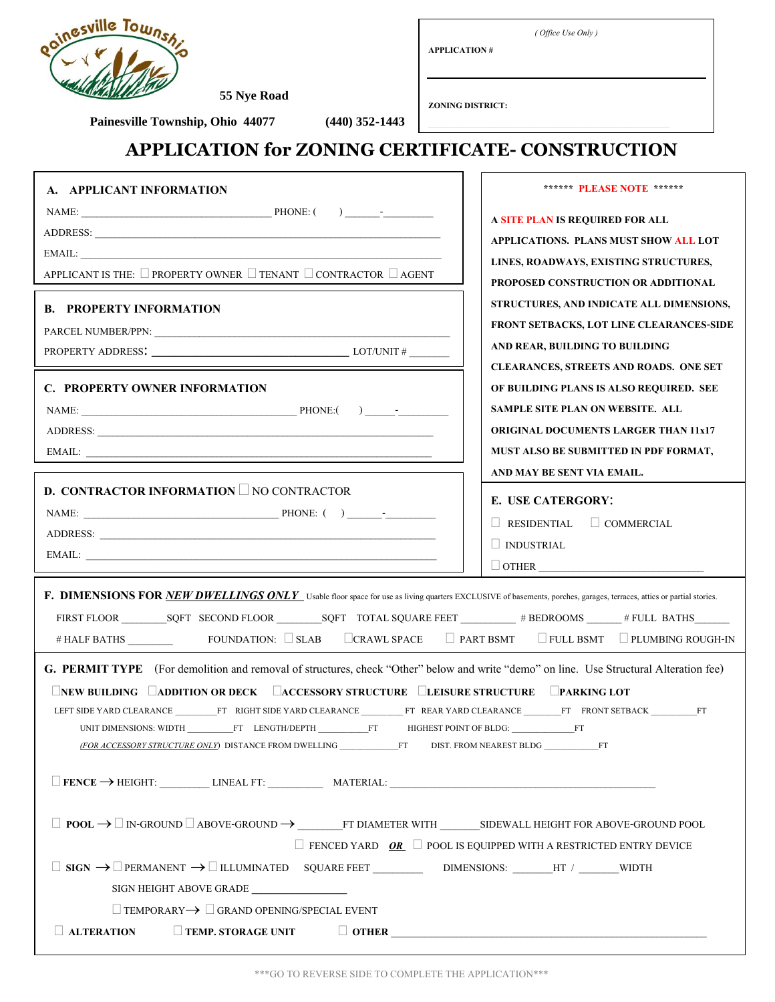

**APPLICATION #**

*( Office Use Only )*

**\_\_\_\_\_\_\_\_\_\_\_\_\_\_\_\_\_\_\_\_\_\_\_\_\_\_\_\_\_\_\_\_\_\_\_\_\_\_\_\_\_\_\_\_\_\_\_\_\_\_\_\_\_\_\_\_\_\_**

 **55 Nye Road Painesville Township, Ohio 44077 (440) 352-1443**

**ZONING DISTRICT:**

## **APPLICATION for ZONING CERTIFICATE- CONSTRUCTION**

| A. APPLICANT INFORMATION                                                                                                                                                                                           | ****** PLEASE NOTE ******                     |  |
|--------------------------------------------------------------------------------------------------------------------------------------------------------------------------------------------------------------------|-----------------------------------------------|--|
|                                                                                                                                                                                                                    | A SITE PLAN IS REQUIRED FOR ALL               |  |
|                                                                                                                                                                                                                    | APPLICATIONS. PLANS MUST SHOW ALL LOT         |  |
| EMAIL:                                                                                                                                                                                                             | LINES, ROADWAYS, EXISTING STRUCTURES,         |  |
| APPLICANT IS THE: $\Box$ PROPERTY OWNER $\Box$ TENANT $\Box$ CONTRACTOR $\Box$ AGENT                                                                                                                               | PROPOSED CONSTRUCTION OR ADDITIONAL           |  |
| <b>B. PROPERTY INFORMATION</b>                                                                                                                                                                                     | STRUCTURES, AND INDICATE ALL DIMENSIONS,      |  |
|                                                                                                                                                                                                                    | FRONT SETBACKS, LOT LINE CLEARANCES-SIDE      |  |
|                                                                                                                                                                                                                    | AND REAR, BUILDING TO BUILDING                |  |
|                                                                                                                                                                                                                    | <b>CLEARANCES, STREETS AND ROADS. ONE SET</b> |  |
| <b>C. PROPERTY OWNER INFORMATION</b>                                                                                                                                                                               | OF BUILDING PLANS IS ALSO REQUIRED. SEE       |  |
|                                                                                                                                                                                                                    | SAMPLE SITE PLAN ON WEBSITE, ALL              |  |
|                                                                                                                                                                                                                    | <b>ORIGINAL DOCUMENTS LARGER THAN 11x17</b>   |  |
|                                                                                                                                                                                                                    | MUST ALSO BE SUBMITTED IN PDF FORMAT,         |  |
|                                                                                                                                                                                                                    | AND MAY BE SENT VIA EMAIL.                    |  |
| <b>D. CONTRACTOR INFORMATION</b> $\Box$ NO CONTRACTOR                                                                                                                                                              | <b>E. USE CATERGORY:</b>                      |  |
|                                                                                                                                                                                                                    | $\Box$ COMMERCIAL<br>$\Box$ RESIDENTIAL       |  |
|                                                                                                                                                                                                                    | $\Box$ INDUSTRIAL                             |  |
|                                                                                                                                                                                                                    | $\Box$ OTHER                                  |  |
| F. DIMENSIONS FOR NEW DWELLINGS ONLY Usable floor space for use as living quarters EXCLUSIVE of basements, porches, garages, terraces, attics or partial stories.                                                  |                                               |  |
|                                                                                                                                                                                                                    |                                               |  |
| # HALF BATHS FOUNDATION: SLAB CRAWL SPACE PART BSMT FULL BSMT PLUMBING ROUGH-IN                                                                                                                                    |                                               |  |
|                                                                                                                                                                                                                    |                                               |  |
| G. PERMIT TYPE (For demolition and removal of structures, check "Other" below and write "demo" on line. Use Structural Alteration fee)                                                                             |                                               |  |
| <b>LINEW BUILDING LADDITION OR DECK LACCESSORY STRUCTURE LEISURE STRUCTURE LPARKING LOT</b>                                                                                                                        |                                               |  |
| LEFT SIDE YARD CLEARANCE FT RIGHT SIDE YARD CLEARANCE FT REAR YARD CLEARANCE FT FRONT SETBACK FT<br>UNIT DIMENSIONS: WIDTH ____________FT LENGTH/DEPTH _____________FT HIGHEST POINT OF BLDG: __________________FT |                                               |  |
| (FOR ACCESSORY STRUCTURE ONLY) DISTANCE FROM DWELLING FT DIST. FROM NEAREST BLDG FT                                                                                                                                |                                               |  |
|                                                                                                                                                                                                                    |                                               |  |
|                                                                                                                                                                                                                    |                                               |  |
|                                                                                                                                                                                                                    |                                               |  |
|                                                                                                                                                                                                                    |                                               |  |
| $\Box$ FENCED YARD OR $\Box$ POOL IS EQUIPPED WITH A RESTRICTED ENTRY DEVICE<br>$\hfill \Box$<br>$\hfill \Box$<br>$\hfill \Box$<br>$\hfill \Box$<br>$\hfill \Box$<br>$\hfill \Box$                                 |                                               |  |
|                                                                                                                                                                                                                    |                                               |  |
| SIGN HEIGHT ABOVE GRADE<br>$\Box$ TEMPORARY $\rightarrow$ $\Box$ GRAND OPENING/SPECIAL EVENT                                                                                                                       |                                               |  |
| $\Box$ ALTERATION<br>$\Box$ TEMP, STORAGE UNIT                                                                                                                                                                     |                                               |  |
|                                                                                                                                                                                                                    |                                               |  |